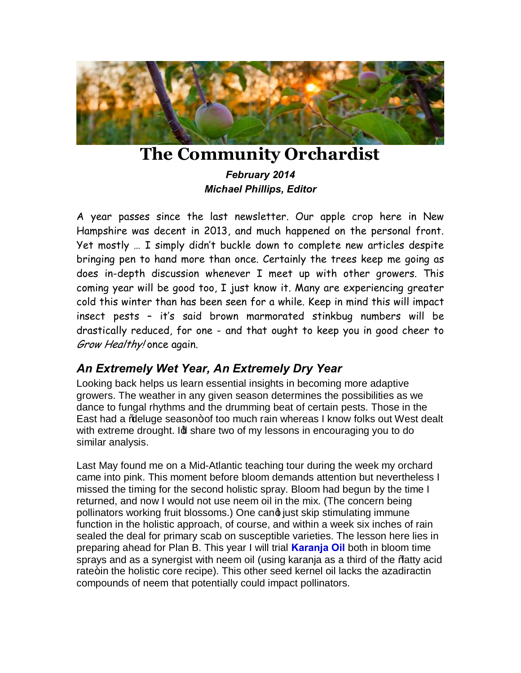

# **The Community Orchardist**

*February 2014 Michael Phillips, Editor*

A year passes since the last newsletter. Our apple crop here in New Hampshire was decent in 2013, and much happened on the personal front. Yet mostly … I simply didn't buckle down to complete new articles despite bringing pen to hand more than once. Certainly the trees keep me going as does in-depth discussion whenever I meet up with other growers. This coming year will be good too, I just know it. Many are experiencing greater cold this winter than has been seen for a while. Keep in mind this will impact insect pests – it's said brown marmorated stinkbug numbers will be drastically reduced, for one - and that ought to keep you in good cheer to Grow Healthy! once again.

# *An Extremely Wet Year, An Extremely Dry Year*

Looking back helps us learn essential insights in becoming more adaptive growers. The weather in any given season determines the possibilities as we dance to fungal rhythms and the drumming beat of certain pests. Those in the East had a % beluge season+ of too much rain whereas I know folks out West dealt with extreme drought. Id share two of my lessons in encouraging you to do similar analysis.

Last May found me on a Mid-Atlantic teaching tour during the week my orchard came into pink. This moment before bloom demands attention but nevertheless I missed the timing for the second holistic spray. Bloom had begun by the time I returned, and now I would not use neem oil in the mix. (The concern being pollinators working fruit blossoms.) One cand just skip stimulating immune function in the holistic approach, of course, and within a week six inches of rain sealed the deal for primary scab on susceptible varieties. The lesson here lies in preparing ahead for Plan B. This year I will trial **[Karanja Oil](http://www.neemresource.com/AboutKaranja.html)** both in bloom time sprays and as a synergist with neem oil (using karanja as a third of the "fatty acid rate+in the holistic core recipe). This other seed kernel oil lacks the azadiractin compounds of neem that potentially could impact pollinators.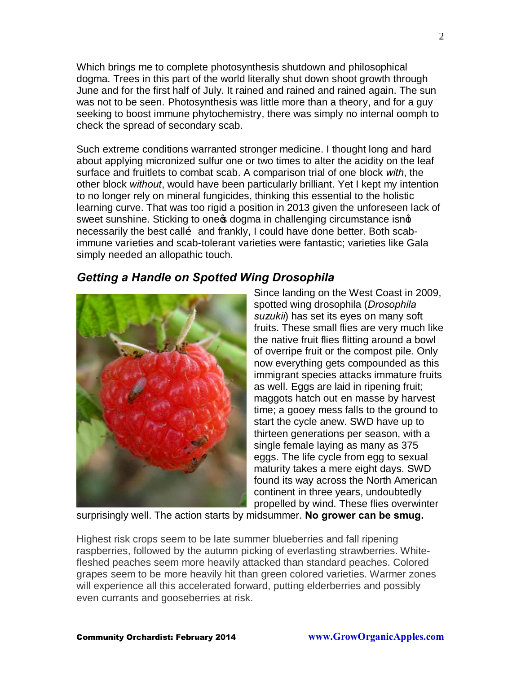Which brings me to complete photosynthesis shutdown and philosophical dogma. Trees in this part of the world literally shut down shoot growth through June and for the first half of July. It rained and rained and rained again. The sun was not to be seen. Photosynthesis was little more than a theory, and for a guy seeking to boost immune phytochemistry, there was simply no internal oomph to check the spread of secondary scab.

Such extreme conditions warranted stronger medicine. I thought long and hard about applying micronized sulfur one or two times to alter the acidity on the leaf surface and fruitlets to combat scab. A comparison trial of one block *with*, the other block *without*, would have been particularly brilliant. Yet I kept my intention to no longer rely on mineral fungicides, thinking this essential to the holistic learning curve. That was too rigid a position in 2013 given the unforeseen lack of sweet sunshine. Sticking to one t dogma in challenging circumstance isnd necessarily the best callo and frankly, I could have done better. Both scabimmune varieties and scab-tolerant varieties were fantastic; varieties like Gala simply needed an allopathic touch.

## *Getting a Handle on Spotted Wing Drosophila*



Since landing on the West Coast in 2009, spotted wing drosophila (*Drosophila suzukii*) has set its eyes on many soft fruits. These small flies are very much like the native fruit flies flitting around a bowl of overripe fruit or the compost pile. Only now everything gets compounded as this immigrant species attacks immature fruits as well. Eggs are laid in ripening fruit; maggots hatch out en masse by harvest time; a gooey mess falls to the ground to start the cycle anew. SWD have up to thirteen generations per season, with a single female laying as many as 375 eggs. The life cycle from egg to sexual maturity takes a mere eight days. SWD found its way across the North American continent in three years, undoubtedly propelled by wind. These flies overwinter

surprisingly well. The action starts by midsummer. **No grower can be smug.**

Highest risk crops seem to be late summer blueberries and fall ripening raspberries, followed by the autumn picking of everlasting strawberries. Whitefleshed peaches seem more heavily attacked than standard peaches. Colored grapes seem to be more heavily hit than green colored varieties. Warmer zones will experience all this accelerated forward, putting elderberries and possibly even currants and gooseberries at risk.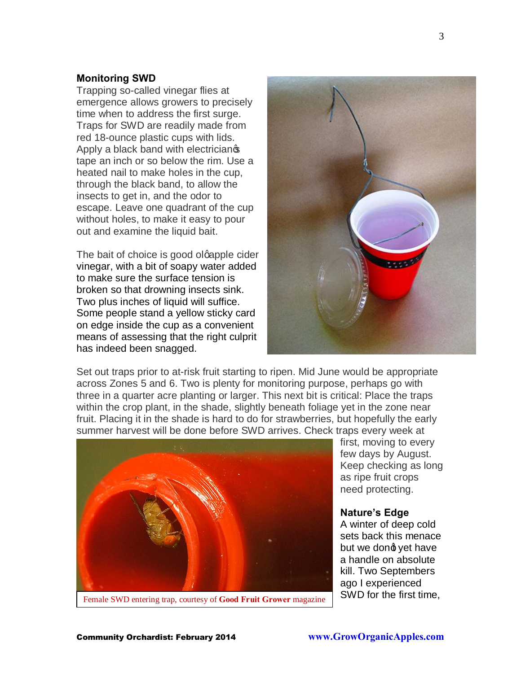#### **Monitoring SWD**

Trapping so-called vinegar flies at emergence allows growers to precisely time when to address the first surge. Traps for SWD are readily made from red 18-ounce plastic cups with lids. Apply a black band with electrician<sup>®</sup> tape an inch or so below the rim. Use a heated nail to make holes in the cup, through the black band, to allow the insects to get in, and the odor to escape. Leave one quadrant of the cup without holes, to make it easy to pour out and examine the liquid bait.

The bait of choice is good olgapple cider vinegar, with a bit of soapy water added to make sure the surface tension is broken so that drowning insects sink. Two plus inches of liquid will suffice. Some people stand a yellow sticky card on edge inside the cup as a convenient means of assessing that the right culprit has indeed been snagged.



Set out traps prior to at-risk fruit starting to ripen. Mid June would be appropriate across Zones 5 and 6. Two is plenty for monitoring purpose, perhaps go with three in a quarter acre planting or larger. This next bit is critical: Place the traps within the crop plant, in the shade, slightly beneath foliage yet in the zone near fruit. Placing it in the shade is hard to do for strawberries, but hopefully the early summer harvest will be done before SWD arrives. Check traps every week at



first, moving to every few days by August. Keep checking as long as ripe fruit crops need protecting.

#### **Nature's Edge**

A winter of deep cold sets back this menace but we dond vet have a handle on absolute kill. Two Septembers ago I experienced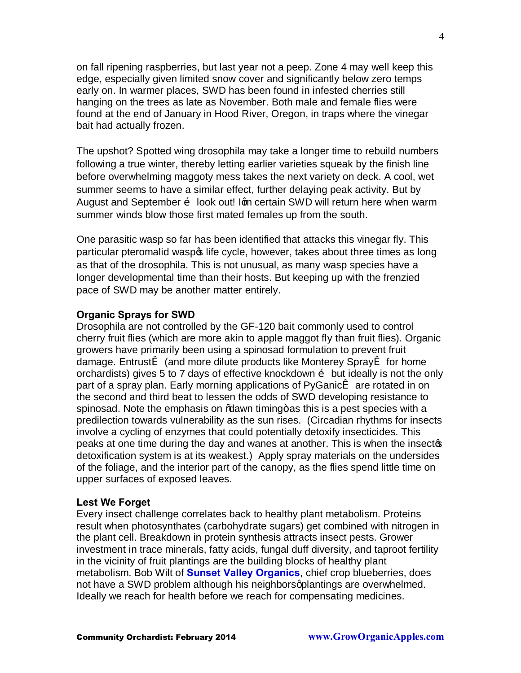on fall ripening raspberries, but last year not a peep. Zone 4 may well keep this edge, especially given limited snow cover and significantly below zero temps early on. In warmer places, SWD has been found in infested cherries still hanging on the trees as late as November. Both male and female flies were found at the end of January in Hood River, Oregon, in traps where the vinegar bait had actually frozen.

The upshot? Spotted wing drosophila may take a longer time to rebuild numbers following a true winter, thereby letting earlier varieties squeak by the finish line before overwhelming maggoty mess takes the next variety on deck. A cool, wet summer seems to have a similar effect, further delaying peak activity. But by August and September  $\ddot{\text{o}}$  look out! Ign certain SWD will return here when warm summer winds blow those first mated females up from the south.

One parasitic wasp so far has been identified that attacks this vinegar fly. This particular pteromalid waspo life cycle, however, takes about three times as long as that of the drosophila. This is not unusual, as many wasp species have a longer developmental time than their hosts. But keeping up with the frenzied pace of SWD may be another matter entirely.

#### **Organic Sprays for SWD**

Drosophila are not controlled by the GF-120 bait commonly used to control cherry fruit flies (which are more akin to apple maggot fly than fruit flies). Organic growers have primarily been using a spinosad formulation to prevent fruit damage. Entrusti (and more dilute products like Monterey Sprayi for home orchardists) gives 5 to 7 days of effective knockdown  $\delta$  but ideally is not the only part of a spray plan. Early morning applications of PyGanicï are rotated in on the second and third beat to lessen the odds of SWD developing resistance to spinosad. Note the emphasis on % awn timing + as this is a pest species with a predilection towards vulnerability as the sun rises. (Circadian rhythms for insects involve a cycling of enzymes that could potentially detoxify insecticides. This peaks at one time during the day and wanes at another. This is when the insectos detoxification system is at its weakest.) Apply spray materials on the undersides of the foliage, and the interior part of the canopy, as the flies spend little time on upper surfaces of exposed leaves.

#### **Lest We Forget**

Every insect challenge correlates back to healthy plant metabolism. Proteins result when photosynthates (carbohydrate sugars) get combined with nitrogen in the plant cell. Breakdown in protein synthesis attracts insect pests. Grower investment in trace minerals, fatty acids, fungal duff diversity, and taproot fertility in the vicinity of fruit plantings are the building blocks of healthy plant metabolism. Bob Wilt of **[Sunset Valley Organics](http://sunsetvorganics.corecommerce.com/Beyond-Organic-Blueberries-11.html)**, chief crop blueberries, does not have a SWD problem although his neighbors aplantings are overwhelmed. Ideally we reach for health before we reach for compensating medicines.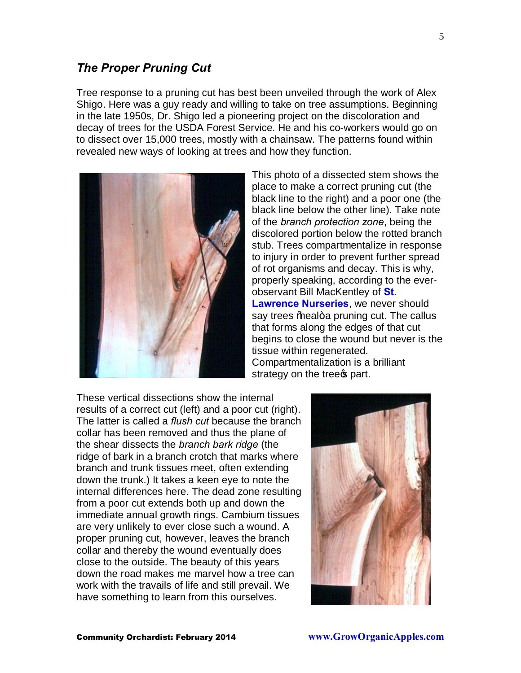Tree response to a pruning cut has best been unveiled through the work of Alex Shigo. Here was a guy ready and willing to take on tree assumptions. Beginning in the late 1950s, Dr. Shigo led a pioneering project on the discoloration and decay of trees for the USDA Forest Service. He and his co-workers would go on to dissect over 15,000 trees, mostly with a chainsaw. The patterns found within revealed new ways of looking at trees and how they function.



This photo of a dissected stem shows the place to make a correct pruning cut (the black line to the right) and a poor one (the black line below the other line). Take note of the *branch protection zone*, being the discolored portion below the rotted branch stub. Trees compartmentalize in response to injury in order to prevent further spread of rot organisms and decay. This is why, properly speaking, according to the everobservant Bill MacKentley of **[St.](http://www.sln.potsdam.ny.us/)  [Lawrence Nurseries](http://www.sln.potsdam.ny.us/)**, we never should say trees % beal+a pruning cut. The callus that forms along the edges of that cut begins to close the wound but never is the tissue within regenerated. Compartmentalization is a brilliant strategy on the trees part.

These vertical dissections show the internal results of a correct cut (left) and a poor cut (right). The latter is called a *flush cut* because the branch collar has been removed and thus the plane of the shear dissects the *branch bark ridge* (the ridge of bark in a branch crotch that marks where branch and trunk tissues meet, often extending down the trunk.) It takes a keen eye to note the internal differences here. The dead zone resulting from a poor cut extends both up and down the immediate annual growth rings. Cambium tissues are very unlikely to ever close such a wound. A proper pruning cut, however, leaves the branch collar and thereby the wound eventually does close to the outside. The beauty of this years down the road makes me marvel how a tree can work with the travails of life and still prevail. We have something to learn from this ourselves.

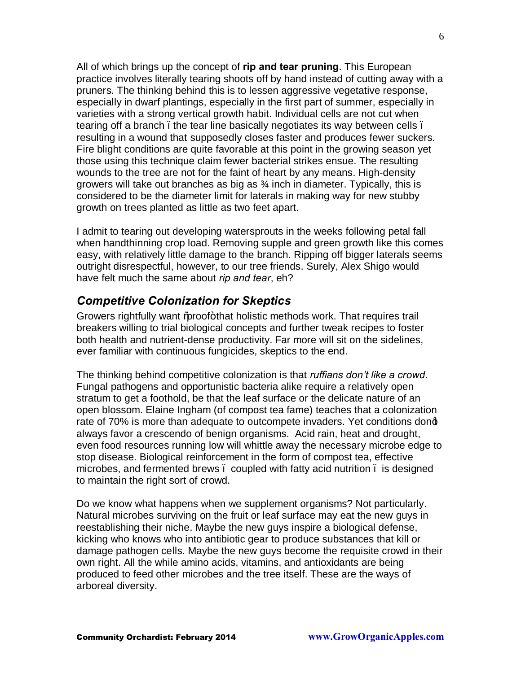All of which brings up the concept of **rip and tear pruning**. This European practice involves literally tearing shoots off by hand instead of cutting away with a pruners. The thinking behind this is to lessen aggressive vegetative response, especially in dwarf plantings, especially in the first part of summer, especially in varieties with a strong vertical growth habit. Individual cells are not cut when tearing off a branch. the tear line basically negotiates its way between cells. resulting in a wound that supposedly closes faster and produces fewer suckers. Fire blight conditions are quite favorable at this point in the growing season yet those using this technique claim fewer bacterial strikes ensue. The resulting wounds to the tree are not for the faint of heart by any means. High-density growers will take out branches as big as ¾ inch in diameter. Typically, this is considered to be the diameter limit for laterals in making way for new stubby growth on trees planted as little as two feet apart.

I admit to tearing out developing watersprouts in the weeks following petal fall when handthinning crop load. Removing supple and green growth like this comes easy, with relatively little damage to the branch. Ripping off bigger laterals seems outright disrespectful, however, to our tree friends. Surely, Alex Shigo would have felt much the same about *rip and tear*, eh?

## *Competitive Colonization for Skeptics*

Growers rightfully want % proof+that holistic methods work. That requires trail breakers willing to trial biological concepts and further tweak recipes to foster both health and nutrient-dense productivity. Far more will sit on the sidelines, ever familiar with continuous fungicides, skeptics to the end.

The thinking behind competitive colonization is that *ruffians don't like a crowd*. Fungal pathogens and opportunistic bacteria alike require a relatively open stratum to get a foothold, be that the leaf surface or the delicate nature of an open blossom. Elaine Ingham (of compost tea fame) teaches that a colonization rate of 70% is more than adequate to outcompete invaders. Yet conditions dong always favor a crescendo of benign organisms. Acid rain, heat and drought, even food resources running low will whittle away the necessary microbe edge to stop disease. Biological reinforcement in the form of compost tea, effective microbes, and fermented brews – coupled with fatty acid nutrition – is designed to maintain the right sort of crowd.

Do we know what happens when we supplement organisms? Not particularly. Natural microbes surviving on the fruit or leaf surface may eat the new guys in reestablishing their niche. Maybe the new guys inspire a biological defense, kicking who knows who into antibiotic gear to produce substances that kill or damage pathogen cells. Maybe the new guys become the requisite crowd in their own right. All the while amino acids, vitamins, and antioxidants are being produced to feed other microbes and the tree itself. These are the ways of arboreal diversity.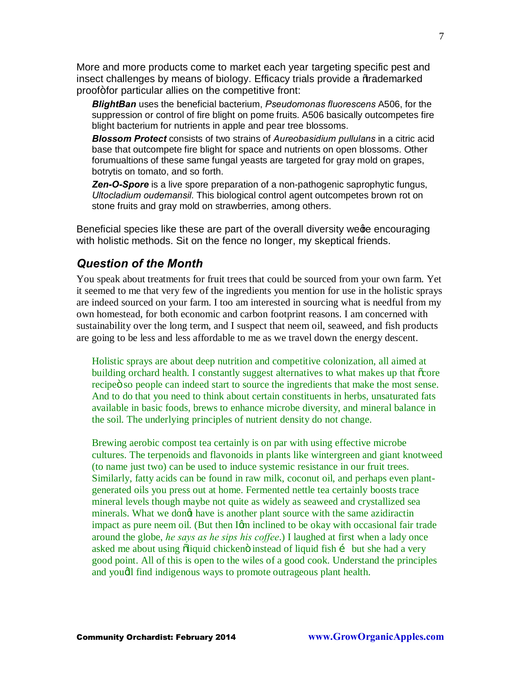More and more products come to market each year targeting specific pest and insect challenges by means of biology. Efficacy trials provide a %trademarked proof+for particular allies on the competitive front:

*BlightBan* uses the beneficial bacterium, *Pseudomonas fluorescens* A506, for the suppression or control of fire blight on pome fruits. A506 basically outcompetes fire blight bacterium for nutrients in apple and pear tree blossoms.

*Blossom Protect* consists of two strains of *Aureobasidium pullulans* in a citric acid base that outcompete fire blight for space and nutrients on open blossoms. Other forumualtions of these same fungal yeasts are targeted for gray mold on grapes, botrytis on tomato, and so forth.

**Zen-O-Spore** is a live spore preparation of a non-pathogenic saprophytic fungus, *Ultocladium oudemansil*. This biological control agent outcompetes brown rot on stone fruits and gray mold on strawberries, among others.

Beneficial species like these are part of the overall diversity wege encouraging with holistic methods. Sit on the fence no longer, my skeptical friends.

### *Question of the Month*

You speak about treatments for fruit trees that could be sourced from your own farm. Yet it seemed to me that very few of the ingredients you mention for use in the holistic sprays are indeed sourced on your farm. I too am interested in sourcing what is needful from my own homestead, for both economic and carbon footprint reasons. I am concerned with sustainability over the long term, and I suspect that neem oil, seaweed, and fish products are going to be less and less affordable to me as we travel down the energy descent.

Holistic sprays are about deep nutrition and competitive colonization, all aimed at building orchard health. I constantly suggest alternatives to what makes up that  $\tilde{\text{c}core}$ recipe is so people can indeed start to source the ingredients that make the most sense. And to do that you need to think about certain constituents in herbs, unsaturated fats available in basic foods, brews to enhance microbe diversity, and mineral balance in the soil. The underlying principles of nutrient density do not change.

Brewing aerobic compost tea certainly is on par with using effective microbe cultures. The terpenoids and flavonoids in plants like wintergreen and giant knotweed (to name just two) can be used to induce systemic resistance in our fruit trees. Similarly, fatty acids can be found in raw milk, coconut oil, and perhaps even plantgenerated oils you press out at home. Fermented nettle tea certainly boosts trace mineral levels though maybe not quite as widely as seaweed and crystallized sea minerals. What we dongt have is another plant source with the same azidiractin impact as pure neem oil. (But then Igm inclined to be okay with occasional fair trade around the globe, *he says as he sips his coffee*.) I laughed at first when a lady once asked me about using õliquid chicken ö instead of liquid fish í but she had a very good point. All of this is open to the wiles of a good cook. Understand the principles and youdl find indigenous ways to promote outrageous plant health.